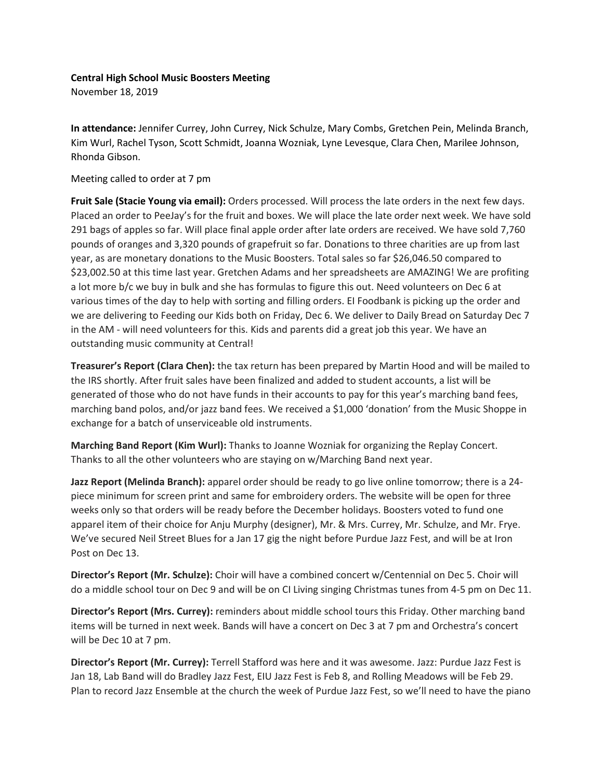## **Central High School Music Boosters Meeting**

November 18, 2019

**In attendance:** Jennifer Currey, John Currey, Nick Schulze, Mary Combs, Gretchen Pein, Melinda Branch, Kim Wurl, Rachel Tyson, Scott Schmidt, Joanna Wozniak, Lyne Levesque, Clara Chen, Marilee Johnson, Rhonda Gibson.

Meeting called to order at 7 pm

**Fruit Sale (Stacie Young via email):** Orders processed. Will process the late orders in the next few days. Placed an order to PeeJay's for the fruit and boxes. We will place the late order next week. We have sold 291 bags of apples so far. Will place final apple order after late orders are received. We have sold 7,760 pounds of oranges and 3,320 pounds of grapefruit so far. Donations to three charities are up from last year, as are monetary donations to the Music Boosters. Total sales so far \$26,046.50 compared to \$23,002.50 at this time last year. Gretchen Adams and her spreadsheets are AMAZING! We are profiting a lot more b/c we buy in bulk and she has formulas to figure this out. Need volunteers on Dec 6 at various times of the day to help with sorting and filling orders. EI Foodbank is picking up the order and we are delivering to Feeding our Kids both on Friday, Dec 6. We deliver to Daily Bread on Saturday Dec 7 in the AM - will need volunteers for this. Kids and parents did a great job this year. We have an outstanding music community at Central!

**Treasurer's Report (Clara Chen):** the tax return has been prepared by Martin Hood and will be mailed to the IRS shortly. After fruit sales have been finalized and added to student accounts, a list will be generated of those who do not have funds in their accounts to pay for this year's marching band fees, marching band polos, and/or jazz band fees. We received a \$1,000 'donation' from the Music Shoppe in exchange for a batch of unserviceable old instruments.

**Marching Band Report (Kim Wurl):** Thanks to Joanne Wozniak for organizing the Replay Concert. Thanks to all the other volunteers who are staying on w/Marching Band next year.

**Jazz Report (Melinda Branch):** apparel order should be ready to go live online tomorrow; there is a 24 piece minimum for screen print and same for embroidery orders. The website will be open for three weeks only so that orders will be ready before the December holidays. Boosters voted to fund one apparel item of their choice for Anju Murphy (designer), Mr. & Mrs. Currey, Mr. Schulze, and Mr. Frye. We've secured Neil Street Blues for a Jan 17 gig the night before Purdue Jazz Fest, and will be at Iron Post on Dec 13.

**Director's Report (Mr. Schulze):** Choir will have a combined concert w/Centennial on Dec 5. Choir will do a middle school tour on Dec 9 and will be on CI Living singing Christmas tunes from 4-5 pm on Dec 11.

**Director's Report (Mrs. Currey):** reminders about middle school tours this Friday. Other marching band items will be turned in next week. Bands will have a concert on Dec 3 at 7 pm and Orchestra's concert will be Dec 10 at 7 pm.

**Director's Report (Mr. Currey):** Terrell Stafford was here and it was awesome. Jazz: Purdue Jazz Fest is Jan 18, Lab Band will do Bradley Jazz Fest, EIU Jazz Fest is Feb 8, and Rolling Meadows will be Feb 29. Plan to record Jazz Ensemble at the church the week of Purdue Jazz Fest, so we'll need to have the piano